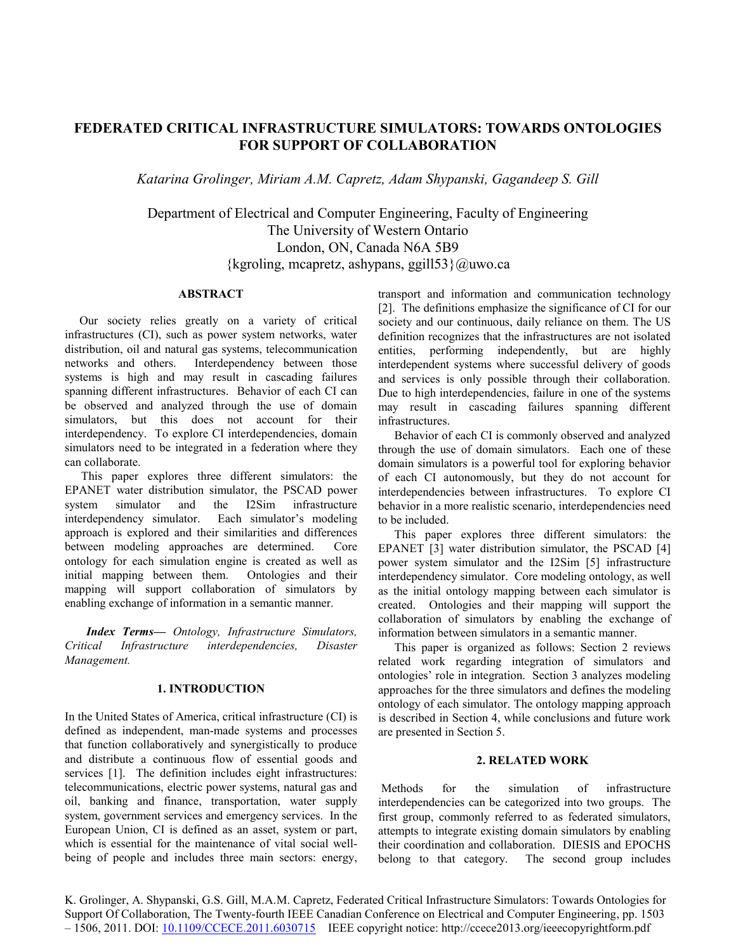# **FEDERATED CRITICAL INFRASTRUCTURE SIMULATORS: TOWARDS ONTOLOGIES FOR SUPPORT OF COLLABORATION**

*Katarina Grolinger, Miriam A.M. Capretz, Adam Shypanski, Gagandeep S. Gill*

Department of Electrical and Computer Engineering, Faculty of Engineering The University of Western Ontario London, ON, Canada N6A 5B9  $\{kgroling, meapretz, ashypans, ggill 53\} @uwo.ca$ 

### **ABSTRACT**

Our society relies greatly on a variety of critical infrastructures (CI), such as power system networks, water distribution, oil and natural gas systems, telecommunication networks and others. Interdependency between those systems is high and may result in cascading failures spanning different infrastructures. Behavior of each CI can be observed and analyzed through the use of domain simulators, but this does not account for their interdependency. To explore CI interdependencies, domain simulators need to be integrated in a federation where they can collaborate.

This paper explores three different simulators: the EPANET water distribution simulator, the PSCAD power system simulator and the I2Sim infrastructure interdependency simulator. Each simulator's modeling approach is explored and their similarities and differences between modeling approaches are determined. Core ontology for each simulation engine is created as well as initial mapping between them. Ontologies and their mapping will support collaboration of simulators by enabling exchange of information in a semantic manner.

*Index Terms— Ontology, Infrastructure Simulators, Critical Infrastructure interdependencies, Disaster Management.*

## **1. INTRODUCTION**

In the United States of America, critical infrastructure (CI) is defined as independent, man-made systems and processes that function collaboratively and synergistically to produce and distribute a continuous flow of essential goods and services [1]. The definition includes eight infrastructures: telecommunications, electric power systems, natural gas and oil, banking and finance, transportation, water supply system, government services and emergency services. In the European Union, CI is defined as an asset, system or part, which is essential for the maintenance of vital social wellbeing of people and includes three main sectors: energy,

transport and information and communication technology [2]. The definitions emphasize the significance of CI for our society and our continuous, daily reliance on them. The US definition recognizes that the infrastructures are not isolated entities, performing independently, but are highly interdependent systems where successful delivery of goods and services is only possible through their collaboration. Due to high interdependencies, failure in one of the systems may result in cascading failures spanning different infrastructures.

Behavior of each CI is commonly observed and analyzed through the use of domain simulators. Each one of these domain simulators is a powerful tool for exploring behavior of each CI autonomously, but they do not account for interdependencies between infrastructures. To explore CI behavior in a more realistic scenario, interdependencies need to be included.

This paper explores three different simulators: the EPANET [3] water distribution simulator, the PSCAD [4] power system simulator and the I2Sim [5] infrastructure interdependency simulator. Core modeling ontology, as well as the initial ontology mapping between each simulator is created. Ontologies and their mapping will support the collaboration of simulators by enabling the exchange of information between simulators in a semantic manner.

This paper is organized as follows: Section 2 reviews related work regarding integration of simulators and ontologies' role in integration. Section 3 analyzes modeling approaches for the three simulators and defines the modeling ontology of each simulator. The ontology mapping approach is described in Section 4, while conclusions and future work are presented in Section 5.

## **2. RELATED WORK**

Methods for the simulation of infrastructure interdependencies can be categorized into two groups. The first group, commonly referred to as federated simulators, attempts to integrate existing domain simulators by enabling their coordination and collaboration. DIESIS and EPOCHS belong to that category. The second group includes

K. Grolinger, A. Shypanski, G.S. Gill, M.A.M. Capretz, Federated Critical Infrastructure Simulators: Towards Ontologies for Support Of Collaboration, The Twenty-fourth IEEE Canadian Conference on Electrical and Computer Engineering, pp. 1503 – 1506, 2011. DOI: 10.1109/CCECE.2011.6030715 IEEE copyright notice: http://ccece2013.org/ieeecopyrightform.pdf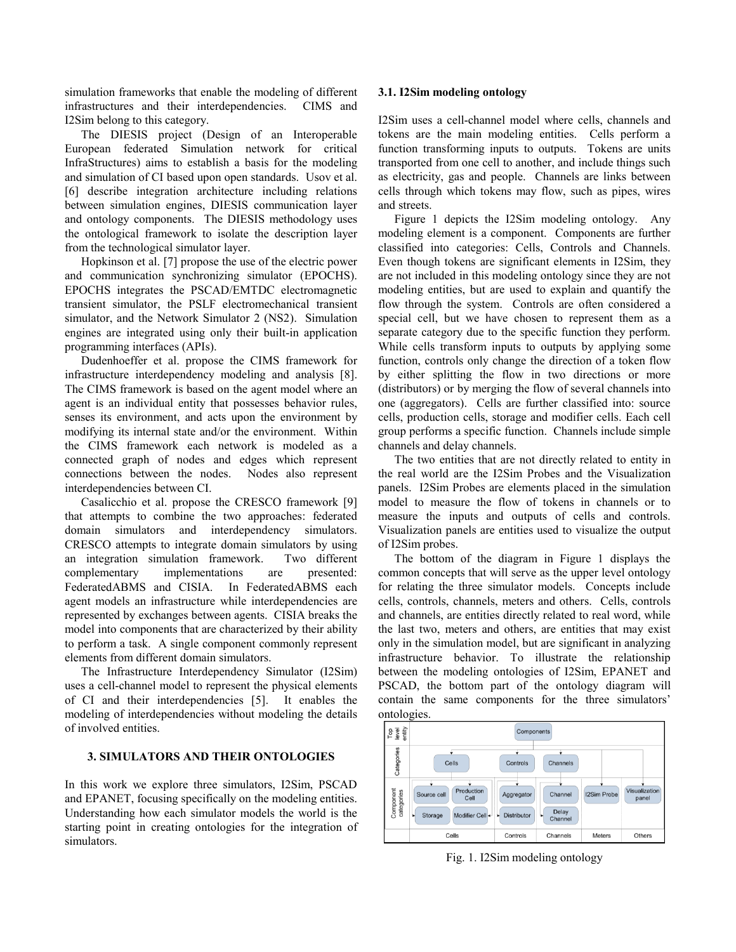simulation frameworks that enable the modeling of different infrastructures and their interdependencies. CIMS and I2Sim belong to this category.

The DIESIS project (Design of an Interoperable European federated Simulation network for critical InfraStructures) aims to establish a basis for the modeling and simulation of CI based upon open standards. Usov et al. [6] describe integration architecture including relations between simulation engines, DIESIS communication layer and ontology components. The DIESIS methodology uses the ontological framework to isolate the description layer from the technological simulator layer.

Hopkinson et al. [7] propose the use of the electric power and communication synchronizing simulator (EPOCHS). EPOCHS integrates the PSCAD/EMTDC electromagnetic transient simulator, the PSLF electromechanical transient simulator, and the Network Simulator 2 (NS2). Simulation engines are integrated using only their built-in application programming interfaces (APIs).

Dudenhoeffer et al. propose the CIMS framework for infrastructure interdependency modeling and analysis [8]. The CIMS framework is based on the agent model where an agent is an individual entity that possesses behavior rules, senses its environment, and acts upon the environment by modifying its internal state and/or the environment. Within the CIMS framework each network is modeled as a connected graph of nodes and edges which represent connections between the nodes. Nodes also represent interdependencies between CI.

Casalicchio et al. propose the CRESCO framework [9] that attempts to combine the two approaches: federated domain simulators and interdependency simulators. CRESCO attempts to integrate domain simulators by using an integration simulation framework. Two different complementary implementations are presented: FederatedABMS and CISIA. In FederatedABMS each agent models an infrastructure while interdependencies are represented by exchanges between agents. CISIA breaks the model into components that are characterized by their ability to perform a task. A single component commonly represent elements from different domain simulators.

The Infrastructure Interdependency Simulator (I2Sim) uses a cell-channel model to represent the physical elements of CI and their interdependencies [5]. It enables the modeling of interdependencies without modeling the details of involved entities.

## **3. SIMULATORS AND THEIR ONTOLOGIES**

In this work we explore three simulators, I2Sim, PSCAD and EPANET, focusing specifically on the modeling entities. Understanding how each simulator models the world is the starting point in creating ontologies for the integration of simulators.

## **3.1. I2Sim modeling ontology**

I2Sim uses a cell-channel model where cells, channels and tokens are the main modeling entities. Cells perform a function transforming inputs to outputs. Tokens are units transported from one cell to another, and include things such as electricity, gas and people. Channels are links between cells through which tokens may flow, such as pipes, wires and streets.

Figure 1 depicts the I2Sim modeling ontology. Any modeling element is a component. Components are further classified into categories: Cells, Controls and Channels. Even though tokens are significant elements in I2Sim, they are not included in this modeling ontology since they are not modeling entities, but are used to explain and quantify the flow through the system. Controls are often considered a special cell, but we have chosen to represent them as a separate category due to the specific function they perform. While cells transform inputs to outputs by applying some function, controls only change the direction of a token flow by either splitting the flow in two directions or more (distributors) or by merging the flow of several channels into one (aggregators). Cells are further classified into: source cells, production cells, storage and modifier cells. Each cell group performs a specific function. Channels include simple channels and delay channels.

The two entities that are not directly related to entity in the real world are the I2Sim Probes and the Visualization panels. I2Sim Probes are elements placed in the simulation model to measure the flow of tokens in channels or to measure the inputs and outputs of cells and controls. Visualization panels are entities used to visualize the output of I2Sim probes.

The bottom of the diagram in Figure 1 displays the common concepts that will serve as the upper level ontology for relating the three simulator models. Concepts include cells, controls, channels, meters and others. Cells, controls and channels, are entities directly related to real word, while the last two, meters and others, are entities that may exist only in the simulation model, but are significant in analyzing infrastructure behavior. To illustrate the relationship between the modeling ontologies of I2Sim, EPANET and PSCAD, the bottom part of the ontology diagram will contain the same components for the three simulators' ontologies.



Fig. 1. I2Sim modeling ontology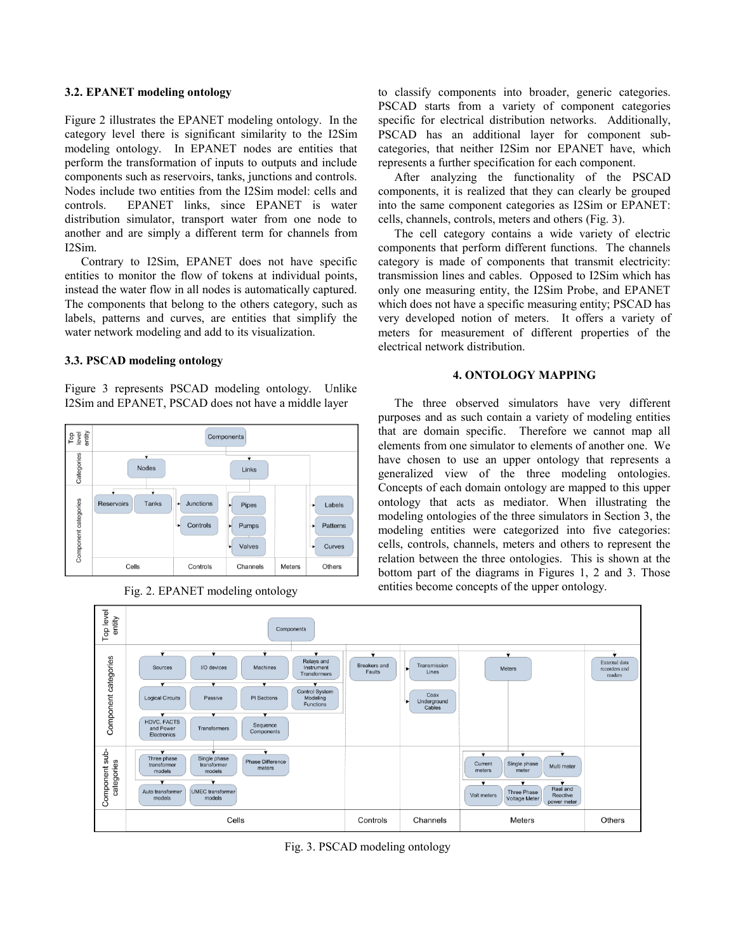## **3.2. EPANET modeling ontology**

Figure 2 illustrates the EPANET modeling ontology. In the category level there is significant similarity to the I2Sim modeling ontology. In EPANET nodes are entities that perform the transformation of inputs to outputs and include components such as reservoirs, tanks, junctions and controls. Nodes include two entities from the I2Sim model: cells and controls. EPANET links, since EPANET is water distribution simulator, transport water from one node to another and are simply a different term for channels from I2Sim.

Contrary to I2Sim, EPANET does not have specific entities to monitor the flow of tokens at individual points, instead the water flow in all nodes is automatically captured. The components that belong to the others category, such as labels, patterns and curves, are entities that simplify the water network modeling and add to its visualization.

### **3.3. PSCAD modeling ontology**

Figure 3 represents PSCAD modeling ontology. Unlike I2Sim and EPANET, PSCAD does not have a middle layer



Fig. 2. EPANET modeling ontology

to classify components into broader, generic categories. PSCAD starts from a variety of component categories specific for electrical distribution networks. Additionally, PSCAD has an additional layer for component subcategories, that neither I2Sim nor EPANET have, which represents a further specification for each component.

After analyzing the functionality of the PSCAD components, it is realized that they can clearly be grouped into the same component categories as I2Sim or EPANET: cells, channels, controls, meters and others (Fig. 3).

The cell category contains a wide variety of electric components that perform different functions. The channels category is made of components that transmit electricity: transmission lines and cables. Opposed to I2Sim which has only one measuring entity, the I2Sim Probe, and EPANET which does not have a specific measuring entity; PSCAD has very developed notion of meters. It offers a variety of meters for measurement of different properties of the electrical network distribution.

#### **4. ONTOLOGY MAPPING**

The three observed simulators have very different purposes and as such contain a variety of modeling entities that are domain specific. Therefore we cannot map all elements from one simulator to elements of another one. We have chosen to use an upper ontology that represents a generalized view of the three modeling ontologies. Concepts of each domain ontology are mapped to this upper ontology that acts as mediator. When illustrating the modeling ontologies of the three simulators in Section 3, the modeling entities were categorized into five categories: cells, controls, channels, meters and others to represent the relation between the three ontologies. This is shown at the bottom part of the diagrams in Figures 1, 2 and 3. Those entities become concepts of the upper ontology.



Fig. 3. PSCAD modeling ontology